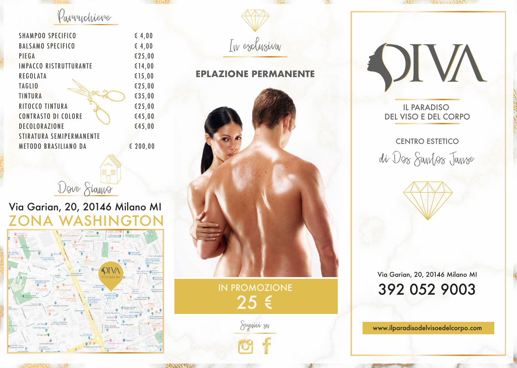Parruchiere

| <b>SHAMPOO SPECIFICO</b>      | 64,00         |                             |                                    |
|-------------------------------|---------------|-----------------------------|------------------------------------|
| <b>BALSAMO SPECIFICO</b>      | 64,00         | In esclusiva                |                                    |
| PIEGA                         | \$25,00       |                             |                                    |
| <b>IMPACCO RISTRUTTURANTE</b> | \$14,00       |                             |                                    |
| <b>REGOLATA</b>               | £15,00        | <b>EPLAZIONE PERMANENTE</b> |                                    |
| <b>TAGLIO</b>                 | €25,00        |                             |                                    |
| <b>TINTURA</b>                | \$35,00       |                             |                                    |
| RITOCCO TINTURA               | \$25,00       |                             | <b>IL PARADISO</b>                 |
| <b>CONTRASTO DI COLORE</b>    | 645,00        |                             | DEL VISO E DEL COR                 |
| DECOLORAZIONE                 | 645,00        |                             |                                    |
| STIRATURA SEMIPERMANENTE      |               |                             |                                    |
| <b>METODO BRASILIANO DA</b>   | $\leq 200,00$ |                             | <b>CENTRO ESTETICO</b>             |
|                               |               |                             | $\bigcap$ $\bigcap$<br>$\triangle$ |



## DEL VISO E DEL CORPO

Via Garian, 20, 20146 Milano MI 392 052 9003

www.ilparadisodelvisoedelcorpo.com

# di Dos Santos Janse





In esclusiva

Seguici su



Dove Sianno

IN PROMOZIONE 25 €